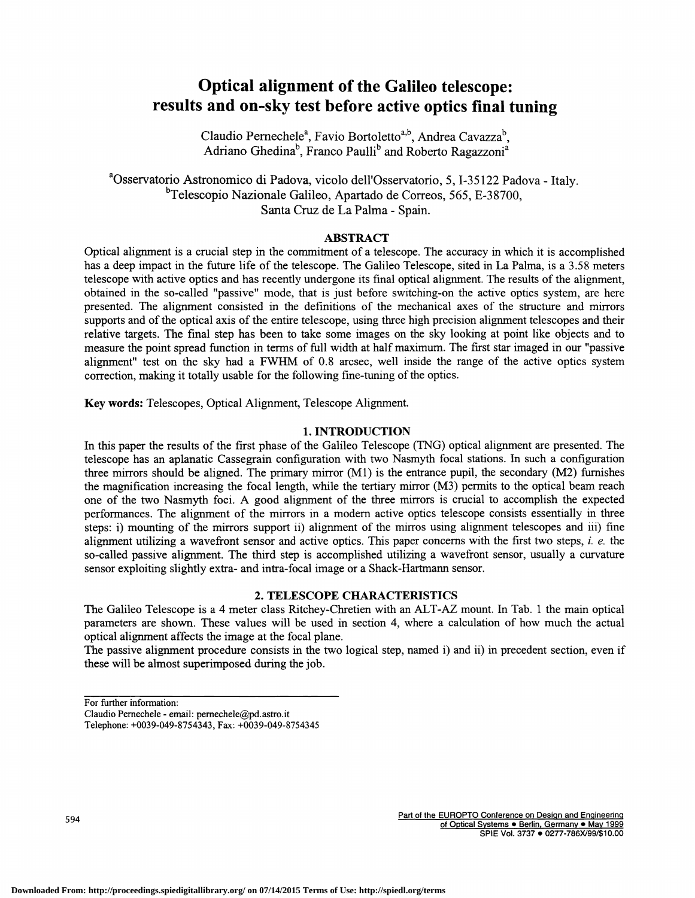# Optical alignment of the Galileo telescope: results and on-sky test before active optics final tuning

Claudio Pernechele<sup>a</sup>, Favio Bortoletto<sup>a,b</sup>, Andrea Cavazza<sup>b</sup>, Adriano Ghedina<sup>b</sup>, Franco Paulli<sup>b</sup> and Roberto Ragazzoni<sup>a</sup>

<sup>a</sup>Osservatorio Astronomico di Padova, vicolo dell'Osservatorio, 5, I-35122 Padova - Italy.  $b$ Telescopio Nazionale Galileo, Apartado de Correos, 565, E-38700, Santa Cruz de La Palma - Spain.

# ABSTRACT

Optical alignment is a crucial step in the commitment of a telescope. The accuracy in which it is accomplished has a deep impact in the future life of the telescope. The Galileo Telescope, sited in La Palma, is a 3 .5 8 meters telescope with active optics and has recently undergone its final optical alignment. The results of the alignment, obtained in the so-called "passive" mode, that is just before switching-on the active optics system, are here presented. The alignment consisted in the definitions of the mechanical axes of the structure and mirrors supports and of the optical axis of the entire telescope, using three high precision alignment telescopes and their relative targets. The final step has been to take some images on the sky looking at point like objects and to measure the point spread function in terms of full width at half maximum. The first star imaged in our "passive alignment" test on the sky had a FWHM of 0.8 arcsec, well inside the range of the active optics system correction, making it totally usable for the following fine-tuning of the optics.

Key words: Telescopes, Optical Alignment, Telescope Alignment.

# 1. INTRODUCTION

In this paper the results of the first phase of the Galileo Telescope (TNG) optical alignment are presented. The telescope has an aplanatic Cassegrain configuration with two Nasmyth focal stations. In such a configuration three mirrors should be aligned. The primary mirror (Ml) is the entrance pupil, the secondary (M2) furnishes the magnification increasing the focal length, while the tertiary mirror (M3) permits to the optical beam reach one of the two Nasmyth foci. A good alignment of the three mirrors is crucial to accomplish the expected performances. The alignment of the mirrors in a modern active optics telescope consists essentially in three steps: i) mounting of the mirrors support ii) alignment of the mirros using alignment telescopes and iii) fine alignment utilizing a wavefront sensor and active optics. This paper concerns with the first two steps,  $i. e.$  the so-called passive alignment. The third step is accomplished utilizing a wavefront sensor, usually a curvature sensor exploiting slightly extra- and intra-focal image or a Shack-Hartmann sensor.

# 2. TELESCOPE CHARACTERISTICS

The Galileo Telescope is a 4 meter class Ritchey-Chretien with an ALT-AZ mount. In Tab. 1 the main optical parameters are shown. These values will be used in section 4, where a calculation of how much the actual optical alignment affects the image at the focal plane.

The passive alignment procedure consists in the two logical step, named i) and ii) in precedent section, even if these will be almost superimposed during the job.

For further information:

Claudio Pemechele - email: pemechele@pd.astro.it

Telephone: +0039-049-8754343, Fax: +0039-049-8754345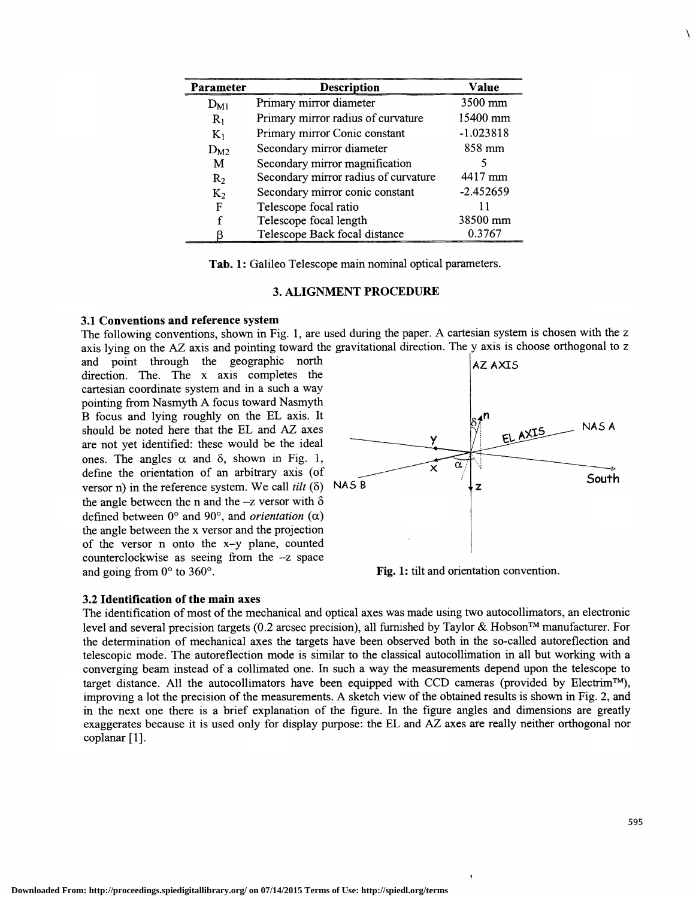| Parameter | <b>Description</b>                   | Value             |
|-----------|--------------------------------------|-------------------|
| $D_{M1}$  | Primary mirror diameter              | $3500 \text{ mm}$ |
| $R_1$     | Primary mirror radius of curvature   | 15400 mm          |
| $K_1$     | Primary mirror Conic constant        | $-1.023818$       |
| $D_{M2}$  | Secondary mirror diameter            | 858 mm            |
| M         | Secondary mirror magnification       |                   |
| $R_2$     | Secondary mirror radius of curvature | 4417 mm           |
| $K_2$     | Secondary mirror conic constant      | $-2.452659$       |
| F         | Telescope focal ratio                |                   |
| f         | Telescope focal length               | 38500 mm          |
|           | Telescope Back focal distance        | 0.3767            |

Tab. 1: Galileo Telescope main nominal optical parameters.

### 3. ALIGNMENT PROCEDURE

#### 3.1 Conventions and reference system

The following conventions, shown in Fig. 1, are used during the paper. A cartesian system is chosen with the z axis lying on the AZ axis and pointing toward the gravitational direction. The y axis is choose orthogonal to z

and point through the geographic north direction. The. The x axis completes the cartesian coordinate system and in a such a way pointing from Nasmyth A focus toward Nasmyth B focus and lying roughly on the EL axis. It should be noted here that the EL and AZ axes are not yet identified: these would be the ideal ones. The angles  $\alpha$  and  $\delta$ , shown in Fig. 1, define the orientation of an arbitrary axis (of versor n) in the reference system We call *tilt* ( $\delta$ ) NAS B versor n) in the reference system. We call tilt  $(\delta)$ the angle between the n and the  $-z$  versor with  $\delta$ defined between  $0^{\circ}$  and  $90^{\circ}$ , and *orientation* ( $\alpha$ ) the angle between the x versor and the projection of the versor n onto the x—y plane, counted counterclockwise as seeing from the —z space and going from 0° to 360°.



Fig. 1: tilt and orientation convention.

## 3.2 Identification of the main axes

The identification of most of the mechanical and optical axes was made using two autocollimators, an electronic level and several precision targets (0.2 arcsec precision), all furnished by Taylor & Hobson<sup>TM</sup> manufacturer. For the determination of mechanical axes the targets have been observed both in the so-called autoreflection and telescopic mode. The autoreflection mode is similar to the classical autocollimation in all but working with a converging beam instead of a collimated one. In such a way the measurements depend upon the telescope to target distance. All the autocollimators have been equipped with CCD cameras (provided by Electrim<sup>TM</sup>), improving a lot the precision of the measurements. A sketch view of the obtained results is shown in Fig. 2, and in the next one there is a brief explanation of the figure. In the figure angles and dimensions are greatly exaggerates because it is used only for display purpose: the EL and AZ axes are really neither orthogonal nor coplanar [1].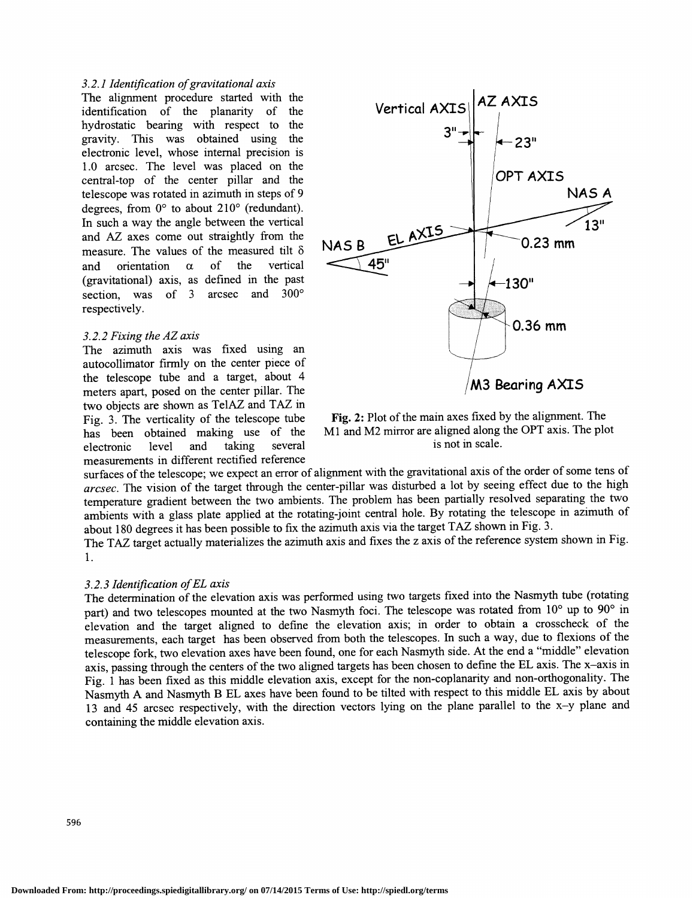## 3.2.1 Identification of gravitational axis

The alignment procedure started with the identification of the planarity of the hydrostatic bearing with respect to the gravity. This was obtained using the electronic level, whose internal precision is 1 .0 arcsec. The level was placed on the central-top of the center pillar and the telescope was rotated in azimuth in steps of 9 degrees, from  $0^{\circ}$  to about 210 $^{\circ}$  (redundant). In such a way the angle between the vertical and AZ axes come out straightly from the measure. The values of the measured tilt  $\delta$ and orientation  $\alpha$  of the vertical (gravitational) axis, as defined in the past section, was of  $3$  arcsec and  $300^{\circ}$ respectively.

#### 3.2.2 Fixing the AZ axis

The azimuth axis was fixed using an autocollimator firmly on the center piece of the telescope tube and a target, about 4 two objects are shown as TelAZ and TAZ in Fig. 3. The verticality of the telescope tube electronic level and taking several is not in scale. measurements in different rectified reference



Fig. 3. The verticality of the telescope tube Fig. 2: Plot of the main axes fixed by the alignment. The has been obtained making use of the M1 and M2 mirror are aligned along the OPT axis. The plot botained making use of the M1 and M2 mirror are aligned along the OPT axis. The plot level and taking several is not in scale.

surfaces of the telescope; we expect an error of alignment with the gravitational axis of the order of some tens of arcsec. The vision of the target through the center-pillar was disturbed a lot by seeing effect due to the high temperature gradient between the two ambients. The problem has been partially resolved separating the two ambients with a glass plate applied at the rotating-joint central hole. By rotating the telescope in azimuth of about 180 degrees it has been possible to fix the azimuth axis via the target TAZ shown in Fig. 3.

The TAZ target actually materializes the azimuth axis and fixes the z axis of the reference system shown in Fig. 1.

# 3.2.3 Identification of EL axis

The determination of the elevation axis was performed using two targets fixed into the Nasmyth tube (rotating part) and two telescopes mounted at the two Nasmyth foci. The telescope was rotated from  $10^{\circ}$  up to  $90^{\circ}$  in elevation and the target aligned to define the elevation axis; in order to obtain a crosscheck of the measurements, each target has been observed from both the telescopes. In such a way, due to flexions of the telescope fork, two elevation axes have been found, one for each Nasmyth side. At the end a "middle" elevation axis, passing through the centers of the two aligned targets has been chosen to define the EL axis. The x—axis in Fig. 1 has been fixed as this middle elevation axis, except for the non-coplanarity and non-orthogonality. The Nasmyth A and Nasmyth B EL axes have been found to be tilted with respect to this middle EL axis by about 13 and 45 arcsec respectively, with the direction vectors lying on the plane parallel to the x—y plane and containing the middle elevation axis.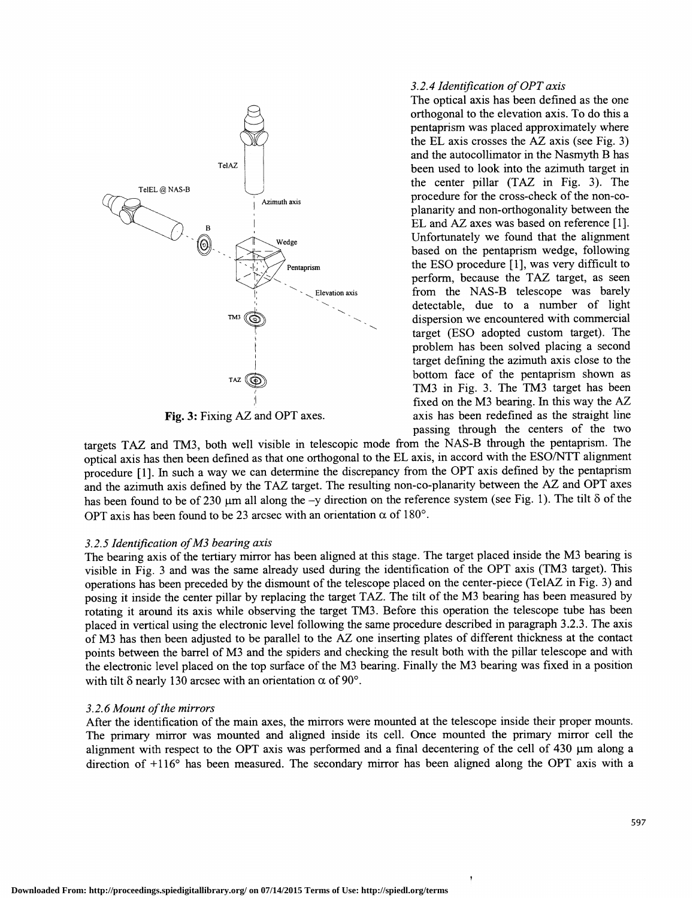

#### 3.2.4 Identification of OPT axis

The optical axis has been defined as the one orthogonal to the elevation axis. To do this a pentaprism was placed approximately where the EL axis crosses the AZ axis (see Fig. 3) and the autocollimator in the Nasmyth B has TelAZ **been** used to look into the azimuth target in the center pillar (TAZ in Fig. 3). The  $\sum_{\text{Azimuth axis}}$  procedure for the cross-check of the non-coplanarity and non-orthogonality between the EL and AZ axes was based on reference [1].  $\overline{\text{[6]}}$  Wedge Unfortunately we found that the alignment based on the pentaprism wedge, following Pentaprism the ESO procedure [1], was very difficult to perform, because the TAZ target, as seen Elevation axis from the NAS-B telescope was barely detectable, due to a number of light  $T^{M3}$  ( $\odot$ ) dispersion we encountered with commercial target (ESO adopted custom target). The problem has been solved placing a second target defining the azimuth axis close to the  $T_A Z$   $\overrightarrow{CD}$  bottom face of the pentaprism shown as TM3 in Fig. 3. The TM3 target has been fixed on the M3 bearing. In this way the  $AZ$ passing through the centers of the two

targets TAZ and TM3, both well visible in telescopic mode from the NAS-B through the pentaprism. The optical axis has then been defined as that one orthogonal to the EL axis, in accord with the ESO/NTT alignment procedure [1]. In such a way we can determine the discrepancy from the OPT axis defined by the pentaprism and the azimuth axis defined by the TAZ target. The resulting non-co-planarity between the AZ and OPT axes has been found to be of 230  $\mu$ m all along the -y direction on the reference system (see Fig. 1). The tilt  $\delta$  of the OPT axis has been found to be 23 arcsec with an orientation  $\alpha$  of 180<sup>o</sup>.

## 3.2.5 Identification of M3 bearing axis

The bearing axis of the tertiary mirror has been aligned at this stage. The target placed inside the M3 bearing is visible in Fig. 3 and was the same already used during the identification of the OPT axis (TM3 target). This operations has been preceded by the dismount of the telescope placed on the center-piece (Te1AZ in Fig. 3) and posing it inside the center pillar by replacing the target TAZ. The tilt of the M3 bearing has been measured by rotating it around its axis while observing the target TM3 . Before this operation the telescope tube has been placed in vertical using the electronic level following the same procedure described in paragraph 3.2.3. The axis of M3 has then been adjusted to be parallel to the AZ one inserting plates of different thickness at the contact points between the barrel of M3 and the spiders and checking the result both with the pillar telescope and with the electronic level placed on the top surface of the M3 bearing. Finally the M3 bearing was fixed in a position with tilt  $\delta$  nearly 130 arcsec with an orientation  $\alpha$  of 90°.

## 3.2.6 Mount of the mirrors

After the identification of the main axes, the mirrors were mounted at the telescope inside their proper mounts. The primary mirror was mounted and aligned inside its cell. Once mounted the primary mirror cell the alignment with respect to the OPT axis was performed and a final decentering of the cell of  $430 \mu m$  along a direction of +116° has been measured. The secondary mirror has been aligned along the OPT axis with a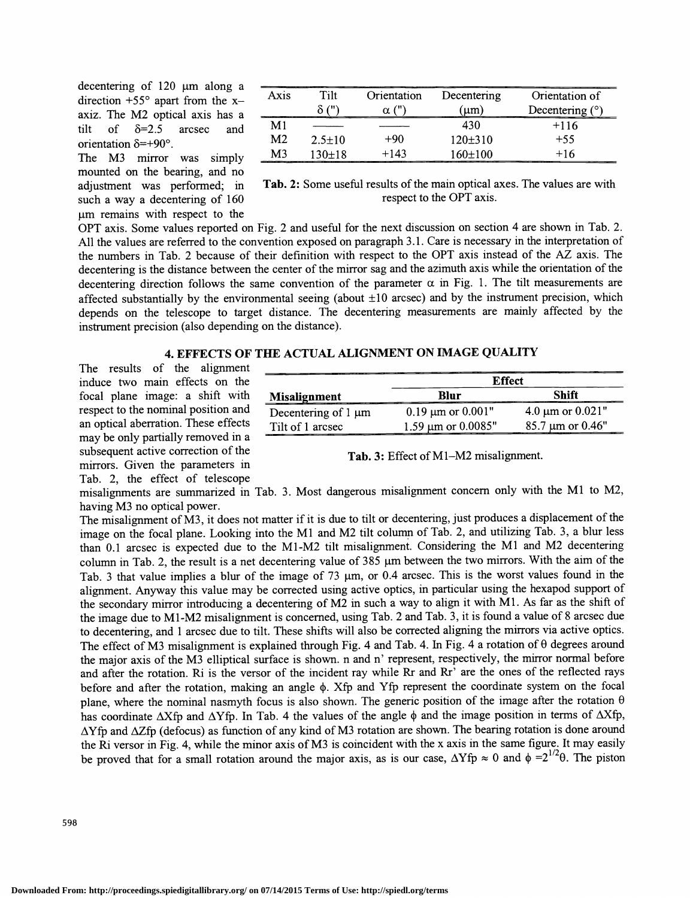decentering of  $120 \mu m$  along a direction  $+55^{\circ}$  apart from the xaxiz. The M2 optical axis has a tilt of  $\delta = 2.5$  arcsec and  $\frac{M1}{M2}$ orientation  $\delta = +90^\circ$ .

The M3 mirror was simply mounted on the bearing, and no adjustment was performed; in such a way a decentering of 160 m remains with respect to the

| Axis             | Tilt<br>711 | Orientation | Decentering<br>ım | _________<br>Orientation of<br>Decentering $(°)$ |
|------------------|-------------|-------------|-------------------|--------------------------------------------------|
| ________________ | ________    |             | 30                | +116                                             |
| M2.              | $2.5 + 10$  | +90         | 120+310           | $+55$                                            |
| м٩               | $30+18$     | -143        | 60+100<br>______  | $+16$                                            |

Tab. 2: Some useful results of the main optical axes. The values are with respect to the OPT axis.

Tab. 3: Effect of Ml—M2 misalignment.

Decentering of 1  $\mu$ m 0.19  $\mu$ m or 0.001" 4.0  $\mu$ m or 0.021"<br>Tilt of 1 arcsec 1.59  $\mu$ m or 0.0085" 85.7  $\mu$ m or 0.46" 1.59  $μm$  or 0.0085"

**Effect** Blur Shift

OPT axis. Some values reported on Fig. 2 and useful for the next discussion on section 4 are shown in Tab. 2. All the values are referred to the convention exposed on paragraph 3.1 . Care is necessary in the interpretation of the numbers in Tab. 2 because of their definition with respect to the OPT axis instead of the AZ axis. The decentering is the distance between the center of the mirror sag and the azimuth axis while the orientation of the decentering direction follows the same convention of the parameter  $\alpha$  in Fig. 1. The tilt measurements are affected substantially by the environmental seeing (about  $\pm 10$  arcsec) and by the instrument precision, which depends on the telescope to target distance. The decentering measurements are mainly affected by the instrument precision (also depending on the distance).

# 4. EFFECTS OF THE ACTUAL ALIGNMENT ON IMAGE QUALITY

Misalignment

The results of the alignment induce two main effects on the focal plane image: a shift with respect to the nominal position and an optical aberration. These effects may be only partially removed in a subsequent active correction of the mirrors. Given the parameters in Tab. 2, the effect of telescope

misalignments are summarized in Tab. 3. Most dangerous misalignment concern only with the Ml to M2,

having M3 no optical power.<br>The misalignment of M3, it does not matter if it is due to tilt or decentering, just produces a displacement of the image on the focal plane. Looking into the Ml and M2 tilt column of Tab. 2, and utilizing Tab. 3, a blur less than 0.1 arcsec is expected due to the Ml-M2 tilt misalignment. Considering the Ml and M2 decentering column in Tab. 2, the result is a net decentering value of  $385 \mu m$  between the two mirrors. With the aim of the Tab. 3 that value implies a blur of the image of 73  $\mu$ m, or 0.4 arcsec. This is the worst values found in the alignment. Anyway this value may be corrected using active optics, in particular using the hexapod support of the secondary mirror introducing a decentering of M2 in such a way to align it with Ml . As far as the shift of the image due to M1-M2 misalignment is concerned, using Tab. 2 and Tab. 3, it is found a value of 8 arcsec due to decentering, and 1 arcsec due to tilt. These shifts will also be corrected aligning the mirrors via active optics. The effect of M3 misalignment is explained through Fig. 4 and Tab. 4. In Fig. 4 a rotation of  $\theta$  degrees around the major axis of the M3 elliptical surface is shown. n and n' represent, respectively, the mirror normal before and after the rotation. Ri is the versor of the incident ray while Rr and Rr' are the ones of the reflected rays before and after the rotation, making an angle  $\phi$ . Xfp and Yfp represent the coordinate system on the focal plane, where the nominal nasmyth focus is also shown. The generic position of the image after the rotation  $\theta$ has coordinate  $\Delta X$ fp and  $\Delta Y$ fp. In Tab. 4 the values of the angle  $\phi$  and the image position in terms of  $\Delta X$ fp,  $\Delta Y$ fp and  $\Delta Z$ fp (defocus) as function of any kind of M3 rotation are shown. The bearing rotation is done around the Ri versor in Fig. 4, while the minor axis of M3 is coincident with the x axis in the same figure. It may easily be proved that for a small rotation around the major axis, as is our case,  $\Delta Y$ fp  $\approx 0$  and  $\phi = 2^{1/2}\theta$ . The piston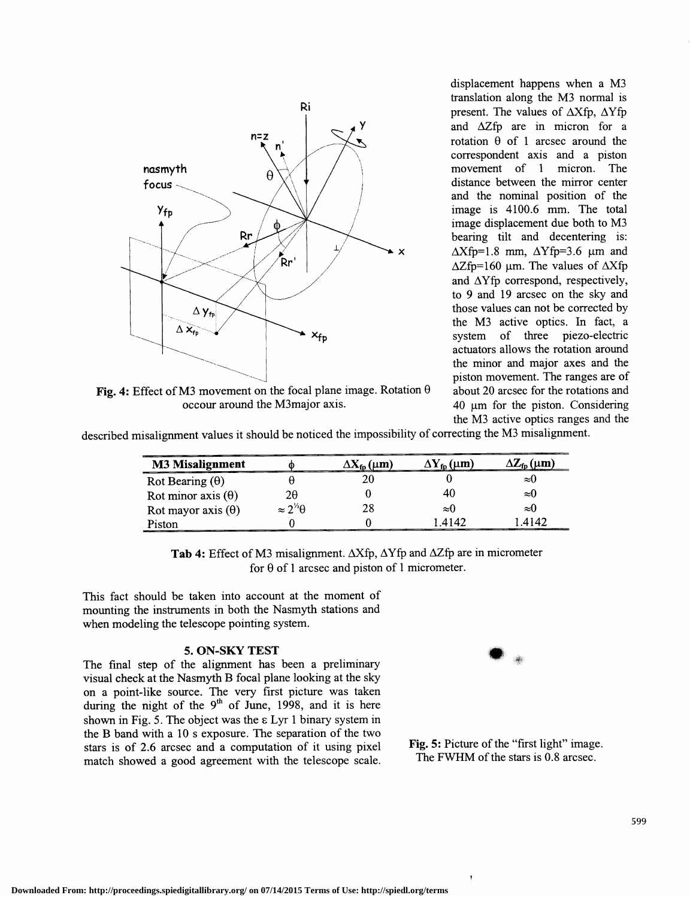

Fig. 4: Effect of M3 movement on the focal plane image. Rotation  $\theta$ occour around the M3major axis.

displacement happens when a M3 translation along the M3 normal is present. The values of  $\Delta X$ fp,  $\Delta Y$ fp and  $\Delta Z$ fp are in micron for a rotation  $\theta$  of 1 arcsec around the correspondent axis and a piston movement of 1 micron. The distance between the mirror center and the nominal position of the image is 4100.6 mm. The total image displacement due both to M3 bearing tilt and decentering is:  $x \Delta X$ fp=1.8 mm,  $\Delta Y$ fp=3.6 µm and  $\Delta Z$ fp=160 µm. The values of  $\Delta X$ fp and  $\Delta Y$ fp correspond, respectively, to 9 and 19 arcsec on the sky and those values can not be corrected by the M3 active optics. In fact, a  $x_{\text{fn}}$  system of three piezo-electric actuators allows the rotation around the minor and major axes and the piston movement. The ranges are of about 20 arcsec for the rotations and 40 µm for the piston. Considering the M3 active optics ranges and the

described misalignment values it should be noticed the impossibility of correcting the M3 misalignment.

| <b>M3 Misalignment</b>    |                         | $\Delta\mathbf{X_{fn}}$ (um) | $\Delta$ Y <sub>fn</sub> ( $\mu$ m) | $\Delta Z_{\rm fn}(\mu m)$ |
|---------------------------|-------------------------|------------------------------|-------------------------------------|----------------------------|
| Rot Bearing $(\theta)$    |                         |                              |                                     | $\approx$ U                |
| Rot minor axis $(\theta)$ | 2θ                      |                              | 40                                  | ≈U                         |
| Rot mayor axis $(\theta)$ | $\approx 2^{1/2}\theta$ | 28                           | $\approx$ ()                        | $\approx$ ()               |
| Piston                    |                         |                              | 4147                                | 4142                       |

Tab 4: Effect of M3 misalignment.  $\Delta X$ fp,  $\Delta Y$ fp and  $\Delta Z$ fp are in micrometer for  $\theta$  of 1 arcsec and piston of 1 micrometer.

This fact should be taken into account at the moment of mounting the instruments in both the Nasmyth stations and when modeling the telescope pointing system.

# 5. ON-SKY TEST

The final step of the alignment has been a preliminary visual check at the Nasmyth B focal plane looking at the sky on a point-like source. The very first picture was taken during the night of the  $9<sup>th</sup>$  of June, 1998, and it is here shown in Fig. 5. The object was the  $\epsilon$  Lyr 1 binary system in the B band with a 10 s exposure. The separation of the two stars is of 2.6 arcsec and a computation of it using pixel match showed a good agreement with the telescope scale.



Fig. 5: Picture of the "first light" image. The FWHM of the stars is 0.8 arcsec.